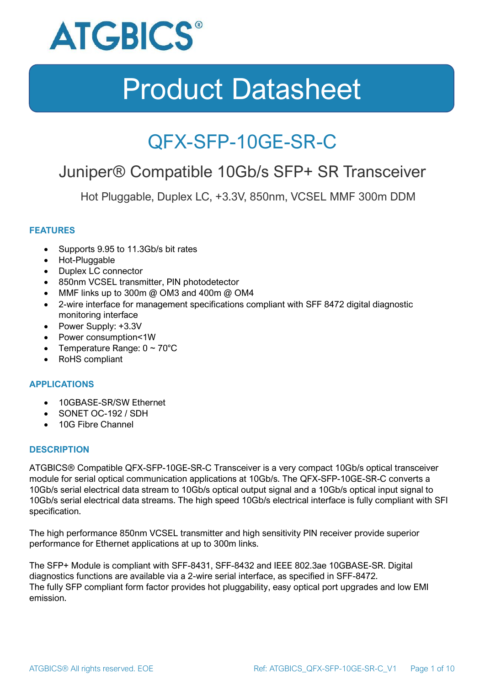

### QFX-SFP-10GE-SR-C

### Juniper® Compatible 10Gb/s SFP+ SR Transceiver

Hot Pluggable, Duplex LC, +3.3V, 850nm, VCSEL MMF 300m DDM

### **FEATURES**

- Supports 9.95 to 11.3Gb/s bit rates
- Hot-Pluggable
- Duplex LC connector
- 850nm VCSEL transmitter, PIN photodetector
- MMF links up to 300m @ OM3 and 400m @ OM4
- 2-wire interface for management specifications compliant with SFF 8472 digital diagnostic monitoring interface
- Power Supply: +3.3V
- Power consumption<1W
- Temperature Range:  $0 \sim 70^{\circ}$ C
- RoHS compliant

### **APPLICATIONS**

- 10GBASE-SR/SW Ethernet
- SONET OC-192 / SDH
- 10G Fibre Channel

### **DESCRIPTION**

ATGBICS® Compatible QFX-SFP-10GE-SR-C Transceiver is a very compact 10Gb/s optical transceiver module for serial optical communication applications at 10Gb/s. The QFX-SFP-10GE-SR-C converts a 10Gb/s serial electrical data stream to 10Gb/s optical output signal and a 10Gb/s optical input signal to 10Gb/s serial electrical data streams. The high speed 10Gb/s electrical interface is fully compliant with SFI specification.

The high performance 850nm VCSEL transmitter and high sensitivity PIN receiver provide superior performance for Ethernet applications at up to 300m links.

The SFP+ Module is compliant with SFF-8431, SFF-8432 and IEEE 802.3ae 10GBASE-SR. Digital diagnostics functions are available via a 2-wire serial interface, as specified in SFF-8472. The fully SFP compliant form factor provides hot pluggability, easy optical port upgrades and low EMI emission.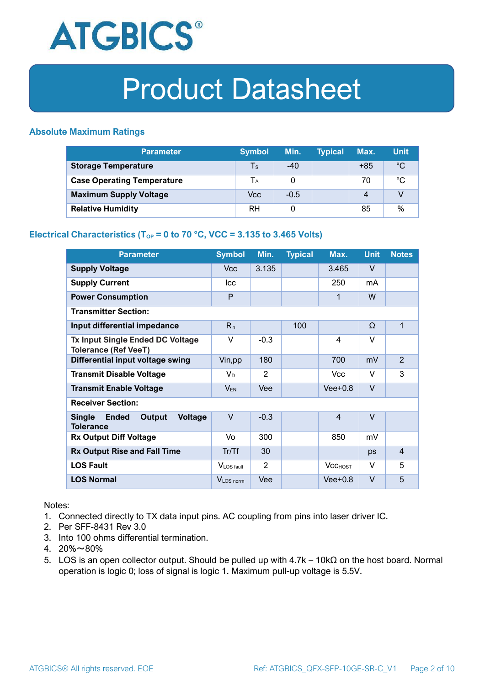

### **Absolute Maximum Ratings**

| <b>Parameter</b>                  | <b>Symbol</b>           | Min.   | <b>Typical</b> | Max.             | <b>Unit</b> |
|-----------------------------------|-------------------------|--------|----------------|------------------|-------------|
| <b>Storage Temperature</b>        | $\mathsf T_{\mathsf S}$ | $-40$  |                | $+85$            | $^{\circ}C$ |
| <b>Case Operating Temperature</b> | Tа                      |        |                | 70               | °C          |
| <b>Maximum Supply Voltage</b>     | Vcc                     | $-0.5$ |                | $\boldsymbol{A}$ |             |
| <b>Relative Humidity</b>          | <b>RH</b>               |        |                | 85               | %           |

### **Electrical Characteristics (T<sub>OP</sub> = 0 to 70 °C, VCC = 3.135 to 3.465 Volts)**

| <b>Parameter</b>                                                              | <b>Symbol</b>         | Min.   | <b>Typical</b> | Max.           | <b>Unit</b> | <b>Notes</b>   |
|-------------------------------------------------------------------------------|-----------------------|--------|----------------|----------------|-------------|----------------|
| <b>Supply Voltage</b>                                                         | V <sub>cc</sub>       | 3.135  |                | 3.465          | $\vee$      |                |
| <b>Supply Current</b>                                                         | <b>Icc</b>            |        |                | 250            | mA          |                |
| <b>Power Consumption</b>                                                      | P                     |        |                | 1              | W           |                |
| <b>Transmitter Section:</b>                                                   |                       |        |                |                |             |                |
| Input differential impedance                                                  | $R_{in}$              |        | 100            |                | Ω           | 1              |
| <b>Tx Input Single Ended DC Voltage</b><br><b>Tolerance (Ref VeeT)</b>        | $\vee$                | $-0.3$ |                | $\overline{4}$ | $\vee$      |                |
| Differential input voltage swing                                              | Vin, pp               | 180    |                | 700            | mV          | $\overline{2}$ |
| <b>Transmit Disable Voltage</b>                                               | $V_D$                 | 2      |                | <b>Vcc</b>     | $\vee$      | 3              |
| <b>Transmit Enable Voltage</b>                                                | $V_{EN}$              | Vee    |                | $Vee+0.8$      | $\vee$      |                |
| <b>Receiver Section:</b>                                                      |                       |        |                |                |             |                |
| <b>Single</b><br><b>Ended</b><br>Output<br><b>Voltage</b><br><b>Tolerance</b> | $\vee$                | $-0.3$ |                | $\overline{4}$ | $\vee$      |                |
| <b>Rx Output Diff Voltage</b>                                                 | Vo                    | 300    |                | 850            | mV          |                |
| <b>Rx Output Rise and Fall Time</b>                                           | Tr/Tf                 | 30     |                |                | ps          | $\overline{4}$ |
| <b>LOS Fault</b>                                                              | VLOS fault            | 2      |                | <b>VCCHOST</b> | V           | 5              |
| <b>LOS Normal</b>                                                             | V <sub>LOS</sub> norm | Vee    |                | $Vee+0.8$      | $\vee$      | 5              |

Notes:

- 1. Connected directly to TX data input pins. AC coupling from pins into laser driver IC.
- 2. Per SFF-8431 Rev 3.0
- 3. Into 100 ohms differential termination.
- 4. 20%~80%
- 5. LOS is an open collector output. Should be pulled up with 4.7k 10kΩ on the host board. Normal operation is logic 0; loss of signal is logic 1. Maximum pull-up voltage is 5.5V.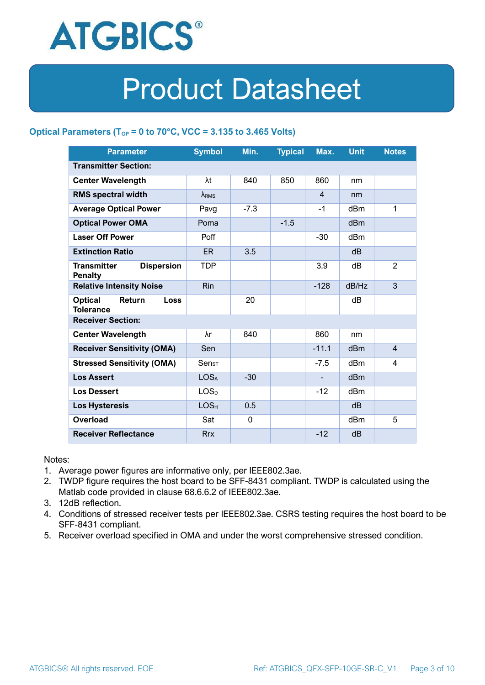

### **Optical Parameters** ( $T_{OP} = 0$  to 70°C, VCC = 3.135 to 3.465 Volts)

| <b>Parameter</b>                                            | <b>Symbol</b>                | Min.        | <b>Typical</b> | Max.           | <b>Unit</b>     | <b>Notes</b>   |  |
|-------------------------------------------------------------|------------------------------|-------------|----------------|----------------|-----------------|----------------|--|
| <b>Transmitter Section:</b>                                 |                              |             |                |                |                 |                |  |
| <b>Center Wavelength</b>                                    | λt                           | 840         | 850            | 860            | nm              |                |  |
| <b>RMS spectral width</b>                                   | $\lambda_{RMS}$              |             |                | $\overline{4}$ | nm              |                |  |
| <b>Average Optical Power</b>                                | Pavg                         | $-7.3$      |                | $-1$           | dBm             | 1              |  |
| <b>Optical Power OMA</b>                                    | Poma                         |             | $-1.5$         |                | dBm             |                |  |
| <b>Laser Off Power</b>                                      | Poff                         |             |                | $-30$          | dBm             |                |  |
| <b>Extinction Ratio</b>                                     | ER.                          | 3.5         |                |                | dB              |                |  |
| <b>Dispersion</b><br><b>Transmitter</b><br><b>Penalty</b>   | <b>TDP</b>                   |             |                | 3.9            | dB              | $\overline{2}$ |  |
| <b>Relative Intensity Noise</b>                             | <b>Rin</b>                   |             |                | $-128$         | dB/Hz           | 3              |  |
| <b>Optical</b><br>Return<br><b>Loss</b><br><b>Tolerance</b> |                              | 20          |                |                | dB              |                |  |
| <b>Receiver Section:</b>                                    |                              |             |                |                |                 |                |  |
| <b>Center Wavelength</b>                                    | λr                           | 840         |                | 860            | nm              |                |  |
| <b>Receiver Sensitivity (OMA)</b>                           | Sen                          |             |                | $-11.1$        | dB <sub>m</sub> | $\overline{4}$ |  |
| <b>Stressed Sensitivity (OMA)</b>                           | $\mathsf{Sen}_{\mathsf{ST}}$ |             |                | $-7.5$         | dB <sub>m</sub> | 4              |  |
| <b>Los Assert</b>                                           | <b>LOSA</b>                  | $-30$       |                |                | d <sub>Bm</sub> |                |  |
| <b>Los Dessert</b>                                          | LOS <sub>D</sub>             |             |                | $-12$          | dBm             |                |  |
| <b>Los Hysteresis</b>                                       | LOS <sub>H</sub>             | 0.5         |                |                | dB              |                |  |
| Overload                                                    | Sat                          | $\mathbf 0$ |                |                | dBm             | 5              |  |
| <b>Receiver Reflectance</b>                                 | <b>Rrx</b>                   |             |                | $-12$          | dB              |                |  |

Notes:

- 1. Average power figures are informative only, per IEEE802.3ae.
- 2. TWDP figure requires the host board to be SFF-8431 compliant. TWDP is calculated using the Matlab code provided in clause 68.6.6.2 of IEEE802.3ae.
- 3. 12dB reflection.
- 4. Conditions of stressed receiver tests per IEEE802.3ae. CSRS testing requires the host board to be SFF-8431 compliant.
- 5. Receiver overload specified in OMA and under the worst comprehensive stressed condition.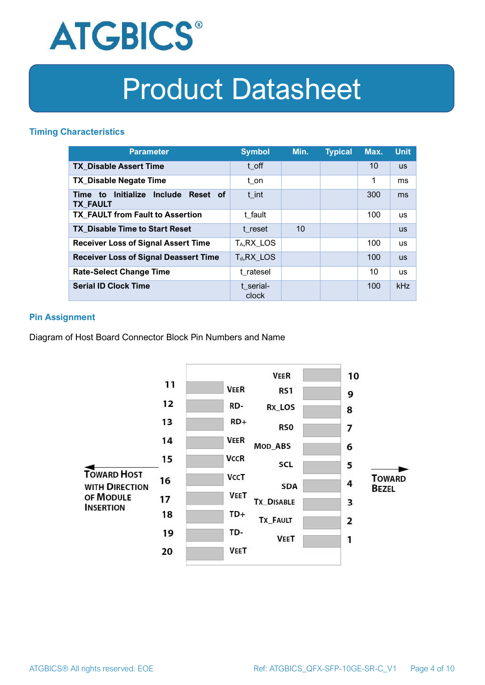

### **Timing Characteristics**

| <b>Parameter</b>                                                          | <b>Symbol</b>         | Min. | <b>Typical</b> | Max. | <b>Unit</b> |
|---------------------------------------------------------------------------|-----------------------|------|----------------|------|-------------|
| <b>TX Disable Assert Time</b>                                             | t off                 |      |                | 10   | <b>US</b>   |
| <b>TX Disable Negate Time</b>                                             | t_on                  |      |                | 1    | ms          |
| Initialize<br><b>Include</b><br>Reset of<br>Time<br>to<br><b>TX FAULT</b> | t int                 |      |                | 300  | ms          |
| <b>TX FAULT from Fault to Assertion</b>                                   | t fault               |      |                | 100  | <b>us</b>   |
| <b>TX Disable Time to Start Reset</b>                                     | t reset               | 10   |                |      | <b>US</b>   |
| <b>Receiver Loss of Signal Assert Time</b>                                | T <sub>A</sub> RX LOS |      |                | 100  | <b>us</b>   |
| <b>Receiver Loss of Signal Deassert Time</b>                              | $T_d, RX$ LOS         |      |                | 100  | <b>US</b>   |
| <b>Rate-Select Change Time</b>                                            | t ratesel             |      |                | 10   | <b>us</b>   |
| <b>Serial ID Clock Time</b>                                               | t serial-<br>clock    |      |                | 100  | kHz         |

### **Pin Assignment**

Diagram of Host Board Connector Block Pin Numbers and Name

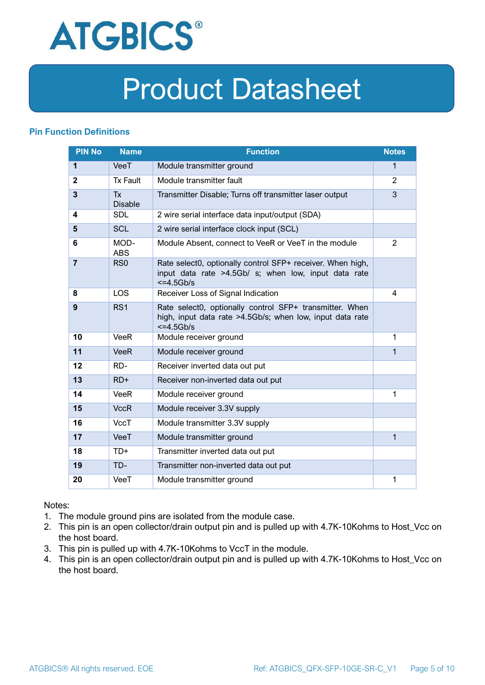

### **Pin Function Definitions**

| <b>PIN No</b>           | <b>Name</b>                 | <b>Function</b>                                                                                                                     | <b>Notes</b> |
|-------------------------|-----------------------------|-------------------------------------------------------------------------------------------------------------------------------------|--------------|
| $\mathbf{1}$            | VeeT                        | Module transmitter ground                                                                                                           | $\mathbf{1}$ |
| $\mathbf{2}$            | <b>Tx Fault</b>             | Module transmitter fault                                                                                                            | 2            |
| $\overline{\mathbf{3}}$ | <b>Tx</b><br><b>Disable</b> | Transmitter Disable; Turns off transmitter laser output                                                                             | 3            |
| 4                       | <b>SDL</b>                  | 2 wire serial interface data input/output (SDA)                                                                                     |              |
| 5                       | <b>SCL</b>                  | 2 wire serial interface clock input (SCL)                                                                                           |              |
| 6                       | MOD-<br><b>ABS</b>          | Module Absent, connect to VeeR or VeeT in the module                                                                                | 2            |
| $\overline{7}$          | RS <sub>0</sub>             | Rate select0, optionally control SFP+ receiver. When high,<br>input data rate >4.5Gb/ s; when low, input data rate<br>$<=4.5Gb/s$   |              |
| 8                       | <b>LOS</b>                  | Receiver Loss of Signal Indication                                                                                                  | 4            |
| 9                       | RS <sub>1</sub>             | Rate select0, optionally control SFP+ transmitter. When<br>high, input data rate >4.5Gb/s; when low, input data rate<br>$<=4.5Gb/s$ |              |
| 10                      | <b>VeeR</b>                 | Module receiver ground                                                                                                              | 1            |
| 11                      | <b>VeeR</b>                 | Module receiver ground                                                                                                              | 1            |
| 12                      | RD-                         | Receiver inverted data out put                                                                                                      |              |
| 13                      | $RD+$                       | Receiver non-inverted data out put                                                                                                  |              |
| 14                      | <b>VeeR</b>                 | Module receiver ground                                                                                                              | 1            |
| 15                      | <b>VccR</b>                 | Module receiver 3.3V supply                                                                                                         |              |
| 16                      | <b>VccT</b>                 | Module transmitter 3.3V supply                                                                                                      |              |
| 17                      | VeeT                        | Module transmitter ground                                                                                                           | $\mathbf{1}$ |
| 18                      | $TD+$                       | Transmitter inverted data out put                                                                                                   |              |
| 19                      | TD-                         | Transmitter non-inverted data out put                                                                                               |              |
| 20                      | VeeT                        | Module transmitter ground                                                                                                           | 1            |

Notes:

- 1. The module ground pins are isolated from the module case.
- 2. This pin is an open collector/drain output pin and is pulled up with 4.7K-10Kohms to Host\_Vcc on the host board.
- 3. This pin is pulled up with 4.7K-10Kohms to VccT in the module.
- 4. This pin is an open collector/drain output pin and is pulled up with 4.7K-10Kohms to Host Vcc on the host board.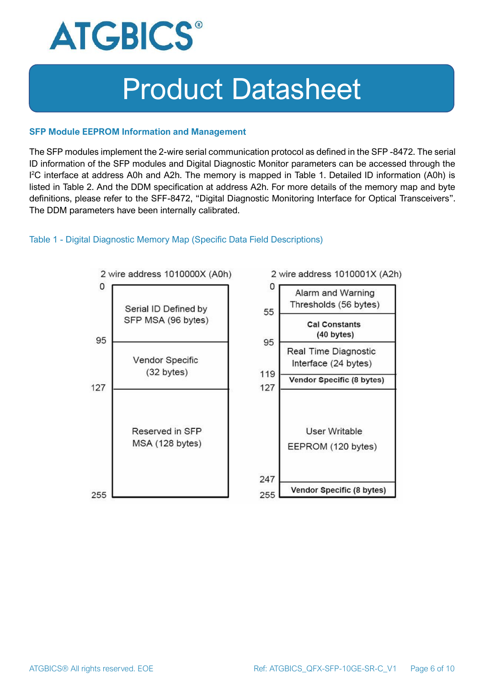

#### **SFP Module EEPROM Information and Management**

The SFP modules implement the 2-wire serial communication protocol as defined in the SFP -8472. The serial ID information of the SFP modules and Digital Diagnostic Monitor parameters can be accessed through the I <sup>2</sup>C interface at address A0h and A2h. The memory is mapped in Table 1. Detailed ID information (A0h) is listed in Table 2. And the DDM specification at address A2h. For more details of the memory map and byte definitions, please refer to the SFF-8472, "Digital Diagnostic Monitoring Interface for Optical Transceivers". The DDM parameters have been internally calibrated.

### Table 1 - Digital Diagnostic Memory Map (Specific Data Field Descriptions)

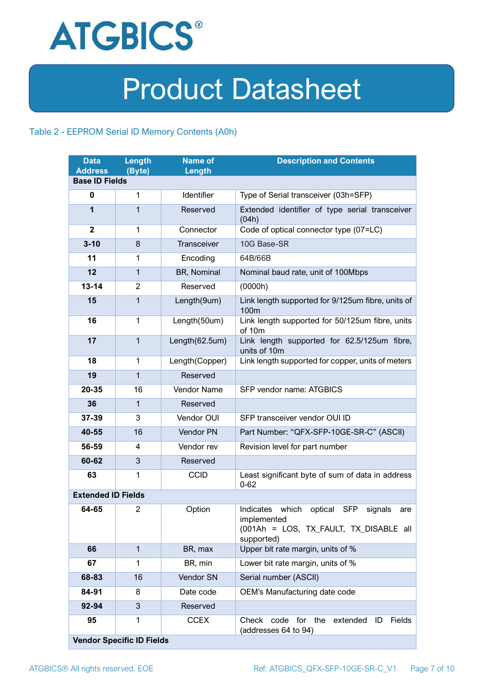

### Table 2 - EEPROM Serial ID Memory Contents (A0h)

| <b>Data</b><br><b>Address</b> | <b>Length</b><br>(Byte)          | <b>Name of</b><br>Length | <b>Description and Contents</b>                                                                                                   |
|-------------------------------|----------------------------------|--------------------------|-----------------------------------------------------------------------------------------------------------------------------------|
| <b>Base ID Fields</b>         |                                  |                          |                                                                                                                                   |
| $\bf{0}$                      | 1                                | Identifier               | Type of Serial transceiver (03h=SFP)                                                                                              |
| 1                             | 1                                | Reserved                 | Extended identifier of type serial transceiver<br>(04h)                                                                           |
| $\mathbf{2}$                  | 1                                | Connector                | Code of optical connector type (07=LC)                                                                                            |
| $3 - 10$                      | 8                                | Transceiver              | 10G Base-SR                                                                                                                       |
| 11                            | 1                                | Encoding                 | 64B/66B                                                                                                                           |
| 12                            | 1                                | BR, Nominal              | Nominal baud rate, unit of 100Mbps                                                                                                |
| $13 - 14$                     | $\overline{2}$                   | Reserved                 | (0000h)                                                                                                                           |
| 15                            | $\mathbf{1}$                     | Length(9um)              | Link length supported for 9/125um fibre, units of<br>100m                                                                         |
| 16                            | $\mathbf 1$                      | Length(50um)             | Link length supported for 50/125um fibre, units<br>of 10m                                                                         |
| 17                            | $\mathbf{1}$                     | Length(62.5um)           | Link length supported for 62.5/125um fibre,<br>units of 10m                                                                       |
| 18                            | $\mathbf{1}$                     | Length(Copper)           | Link length supported for copper, units of meters                                                                                 |
| 19                            | $\mathbf{1}$                     | Reserved                 |                                                                                                                                   |
| 20-35                         | 16                               | <b>Vendor Name</b>       | SFP vendor name: ATGBICS                                                                                                          |
| 36                            | $\mathbf{1}$                     | Reserved                 |                                                                                                                                   |
| 37-39                         | 3                                | Vendor OUI               | SFP transceiver vendor OUI ID                                                                                                     |
| 40-55                         | 16                               | Vendor PN                | Part Number: "QFX-SFP-10GE-SR-C" (ASCII)                                                                                          |
| 56-59                         | 4                                | Vendor rev               | Revision level for part number                                                                                                    |
| 60-62                         | 3                                | Reserved                 |                                                                                                                                   |
| 63                            | 1                                | <b>CCID</b>              | Least significant byte of sum of data in address<br>$0 - 62$                                                                      |
| <b>Extended ID Fields</b>     |                                  |                          |                                                                                                                                   |
| 64-65                         | $\overline{2}$                   | Option                   | Indicates which<br>optical<br><b>SFP</b><br>signals<br>are<br>implemented<br>(001Ah = LOS, TX_FAULT, TX_DISABLE all<br>supported) |
| 66                            | $\mathbf{1}$                     | BR, max                  | Upper bit rate margin, units of %                                                                                                 |
| 67                            | 1                                | BR, min                  | Lower bit rate margin, units of %                                                                                                 |
| 68-83                         | 16                               | Vendor SN                | Serial number (ASCII)                                                                                                             |
| 84-91                         | 8                                | Date code                | OEM's Manufacturing date code                                                                                                     |
| 92-94                         | 3                                | Reserved                 |                                                                                                                                   |
| 95                            | 1                                | <b>CCEX</b>              | code for the<br><b>Fields</b><br>Check<br>extended<br>ID<br>(addresses 64 to 94)                                                  |
|                               | <b>Vendor Specific ID Fields</b> |                          |                                                                                                                                   |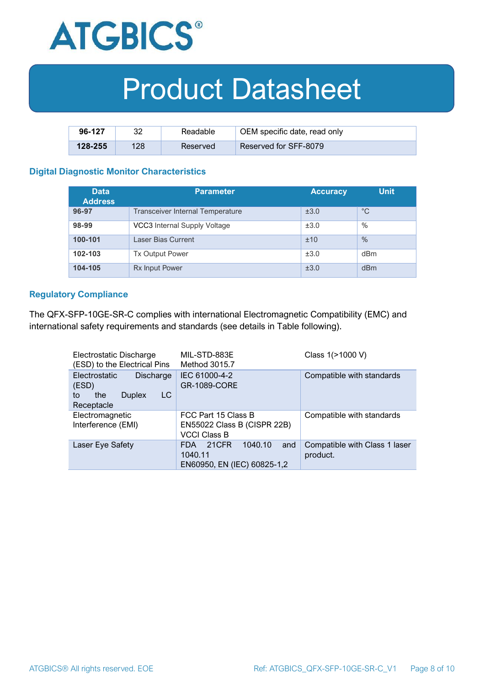

| 96-127      | າາ  | Readable | OEM specific date, read only |
|-------------|-----|----------|------------------------------|
| $128 - 255$ | 128 | Reserved | Reserved for SFF-8079        |

#### **Digital Diagnostic Monitor Characteristics**

| <b>Data</b><br><b>Address</b> | <b>Parameter</b>                        | <b>Accuracy</b> | <b>Unit</b> |
|-------------------------------|-----------------------------------------|-----------------|-------------|
| 96-97                         | <b>Transceiver Internal Temperature</b> | ±3.0            | $^{\circ}C$ |
| 98-99                         | VCC3 Internal Supply Voltage            | ±3.0            | $\%$        |
| 100-101                       | Laser Bias Current                      | ±10             | $\%$        |
| 102-103                       | <b>Tx Output Power</b>                  | ±3.0            | dBm         |
| 104-105                       | <b>Rx Input Power</b>                   | ±3.0            | dBm         |

#### **Regulatory Compliance**

The QFX-SFP-10GE-SR-C complies with international Electromagnetic Compatibility (EMC) and international safety requirements and standards (see details in Table following).

| Electrostatic Discharge<br>(ESD) to the Electrical Pins                               | MIL-STD-883E<br>Method 3015.7                                             | Class 1(>1000 V)                          |
|---------------------------------------------------------------------------------------|---------------------------------------------------------------------------|-------------------------------------------|
| Electrostatic<br>Discharge<br>(ESD)<br>LC<br>the<br><b>Duplex</b><br>to<br>Receptacle | IEC 61000-4-2<br><b>GR-1089-CORE</b>                                      | Compatible with standards                 |
| Electromagnetic<br>Interference (EMI)                                                 | FCC Part 15 Class B<br>EN55022 Class B (CISPR 22B)<br><b>VCCI Class B</b> | Compatible with standards                 |
| Laser Eye Safety                                                                      | 1040.10<br>21CFR<br>and<br>FDA.<br>1040.11<br>EN60950, EN (IEC) 60825-1,2 | Compatible with Class 1 laser<br>product. |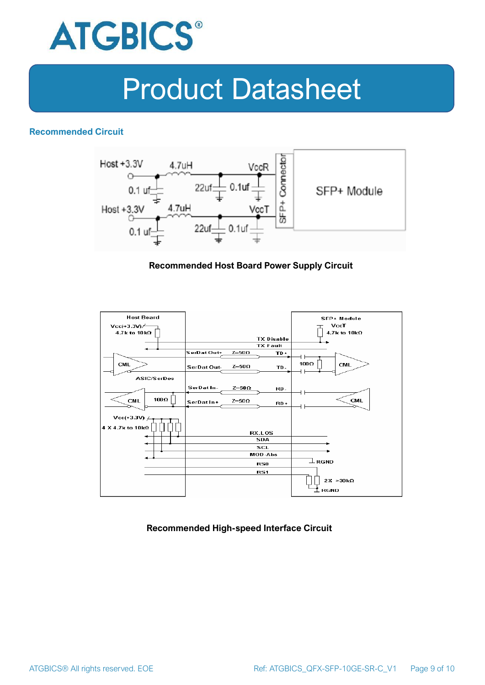

### **Recommended Circuit**



#### **Recommended Host Board Power Supply Circuit**



### **Recommended High-speed Interface Circuit**